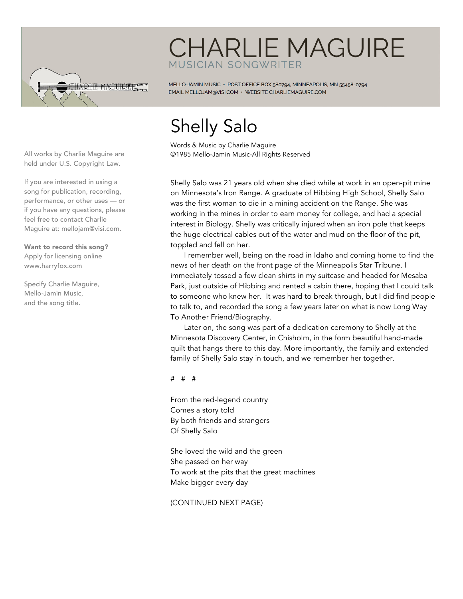

## **CHARLIE MAGUIRE MUSICIAN SONGWRITER**

MELLO-JAMIN MUSIC · POST OFFICE BOX 580794, MINNEAPOLIS, MN 55458-0794 EMAIL MELLOJAM@VISI.COM · WEBSITE CHARLIEMAGUIRE.COM

## Shelly Salo

Words & Music by Charlie Maguire ©1985 Mello-Jamin Music-All Rights Reserved

Shelly Salo was 21 years old when she died while at work in an open-pit mine on Minnesota's Iron Range. A graduate of Hibbing High School, Shelly Salo was the first woman to die in a mining accident on the Range. She was working in the mines in order to earn money for college, and had a special interest in Biology. Shelly was critically injured when an iron pole that keeps the huge electrical cables out of the water and mud on the floor of the pit, toppled and fell on her.

I remember well, being on the road in Idaho and coming home to find the news of her death on the front page of the Minneapolis Star Tribune. I immediately tossed a few clean shirts in my suitcase and headed for Mesaba Park, just outside of Hibbing and rented a cabin there, hoping that I could talk to someone who knew her. It was hard to break through, but I did find people to talk to, and recorded the song a few years later on what is now Long Way To Another Friend/Biography.

Later on, the song was part of a dedication ceremony to Shelly at the Minnesota Discovery Center, in Chisholm, in the form beautiful hand-made quilt that hangs there to this day. More importantly, the family and extended family of Shelly Salo stay in touch, and we remember her together.

# # #

From the red-legend country Comes a story told By both friends and strangers Of Shelly Salo

She loved the wild and the green She passed on her way To work at the pits that the great machines Make bigger every day

(CONTINUED NEXT PAGE)

All works by Charlie Maguire are held under U.S. Copyright Law.

If you are interested in using a song for publication, recording, performance, or other uses — or if you have any questions, please feel free to contact Charlie Maguire at: mellojam@visi.com.

Want to record this song? Apply for licensing online www.harryfox.com

Specify Charlie Maguire, Mello-Jamin Music, and the song title.